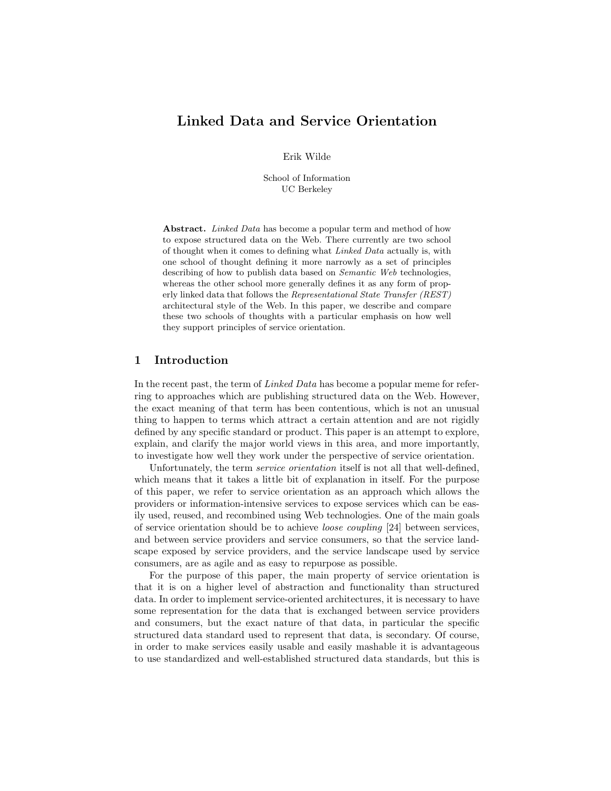# Linked Data and Service Orientation

Erik Wilde

School of Information UC Berkeley

Abstract. Linked Data has become a popular term and method of how to expose structured data on the Web. There currently are two school of thought when it comes to defining what Linked Data actually is, with one school of thought defining it more narrowly as a set of principles describing of how to publish data based on *Semantic Web* technologies, whereas the other school more generally defines it as any form of properly linked data that follows the Representational State Transfer (REST) architectural style of the Web. In this paper, we describe and compare these two schools of thoughts with a particular emphasis on how well they support principles of service orientation.

# 1 Introduction

In the recent past, the term of Linked Data has become a popular meme for referring to approaches which are publishing structured data on the Web. However, the exact meaning of that term has been contentious, which is not an unusual thing to happen to terms which attract a certain attention and are not rigidly defined by any specific standard or product. This paper is an attempt to explore, explain, and clarify the major world views in this area, and more importantly, to investigate how well they work under the perspective of service orientation.

Unfortunately, the term service orientation itself is not all that well-defined, which means that it takes a little bit of explanation in itself. For the purpose of this paper, we refer to service orientation as an approach which allows the providers or information-intensive services to expose services which can be easily used, reused, and recombined using Web technologies. One of the main goals of service orientation should be to achieve loose coupling [\[24\]](#page-14-0) between services, and between service providers and service consumers, so that the service landscape exposed by service providers, and the service landscape used by service consumers, are as agile and as easy to repurpose as possible.

For the purpose of this paper, the main property of service orientation is that it is on a higher level of abstraction and functionality than structured data. In order to implement service-oriented architectures, it is necessary to have some representation for the data that is exchanged between service providers and consumers, but the exact nature of that data, in particular the specific structured data standard used to represent that data, is secondary. Of course, in order to make services easily usable and easily mashable it is advantageous to use standardized and well-established structured data standards, but this is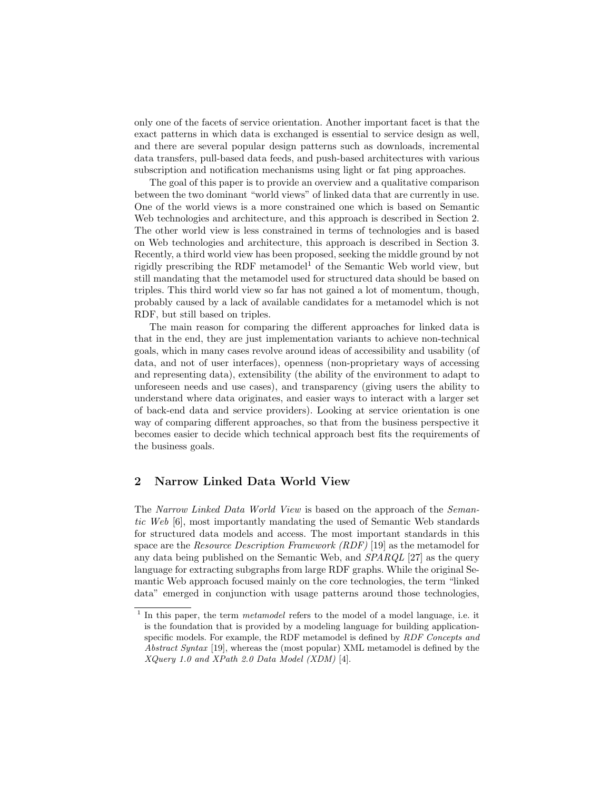only one of the facets of service orientation. Another important facet is that the exact patterns in which data is exchanged is essential to service design as well, and there are several popular design patterns such as downloads, incremental data transfers, pull-based data feeds, and push-based architectures with various subscription and notification mechanisms using light or fat ping approaches.

The goal of this paper is to provide an overview and a qualitative comparison between the two dominant "world views" of linked data that are currently in use. One of the world views is a more constrained one which is based on Semantic Web technologies and architecture, and this approach is described in Section 2. The other world view is less constrained in terms of technologies and is based on Web technologies and architecture, this approach is described in Section [3.](#page-2-0) Recently, a third world view has been proposed, seeking the middle ground by not rigidly prescribing the RDF metamodel<sup>1</sup> of the Semantic Web world view, but still mandating that the metamodel used for structured data should be based on triples. This third world view so far has not gained a lot of momentum, though, probably caused by a lack of available candidates for a metamodel which is not RDF, but still based on triples.

The main reason for comparing the different approaches for linked data is that in the end, they are just implementation variants to achieve non-technical goals, which in many cases revolve around ideas of accessibility and usability (of data, and not of user interfaces), openness (non-proprietary ways of accessing and representing data), extensibility (the ability of the environment to adapt to unforeseen needs and use cases), and transparency (giving users the ability to understand where data originates, and easier ways to interact with a larger set of back-end data and service providers). Looking at service orientation is one way of comparing different approaches, so that from the business perspective it becomes easier to decide which technical approach best fits the requirements of the business goals.

## 2 Narrow Linked Data World View

The Narrow Linked Data World View is based on the approach of the Semantic Web [\[6\]](#page-14-0), most importantly mandating the used of Semantic Web standards for structured data models and access. The most important standards in this space are the *Resource Description Framework (RDF)* [\[19\]](#page-14-0) as the metamodel for any data being published on the Semantic Web, and SPARQL [\[27\]](#page-14-0) as the query language for extracting subgraphs from large RDF graphs. While the original Semantic Web approach focused mainly on the core technologies, the term "linked data" emerged in conjunction with usage patterns around those technologies,

<sup>&</sup>lt;sup>1</sup> In this paper, the term *metamodel* refers to the model of a model language, i.e. it is the foundation that is provided by a modeling language for building applicationspecific models. For example, the RDF metamodel is defined by RDF Concepts and Abstract Syntax [\[19\]](#page-14-0), whereas the (most popular) XML metamodel is defined by the XQuery 1.0 and XPath 2.0 Data Model (XDM) [\[4\]](#page-14-0).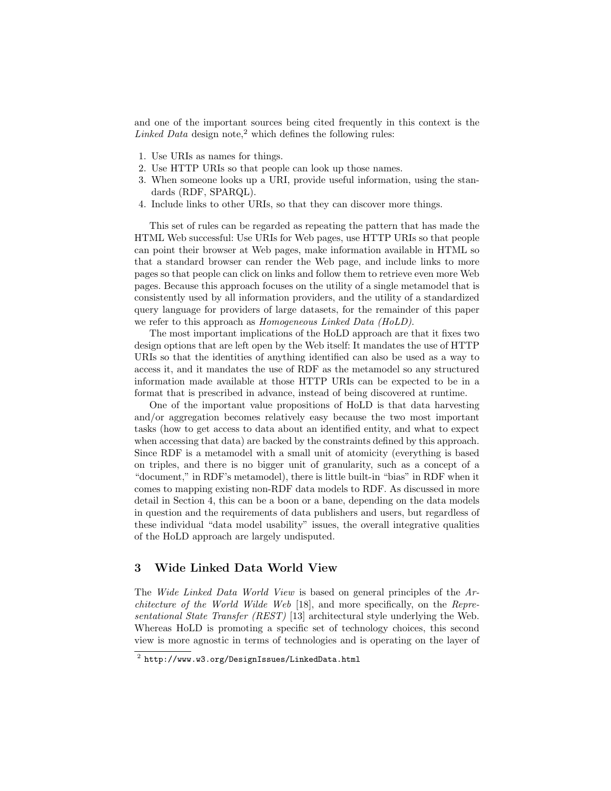<span id="page-2-0"></span>and one of the important sources being cited frequently in this context is the Linked Data design note,<sup>2</sup> which defines the following rules:

- 1. Use URIs as names for things.
- 2. Use HTTP URIs so that people can look up those names.
- 3. When someone looks up a URI, provide useful information, using the standards (RDF, SPARQL).
- 4. Include links to other URIs, so that they can discover more things.

This set of rules can be regarded as repeating the pattern that has made the HTML Web successful: Use URIs for Web pages, use HTTP URIs so that people can point their browser at Web pages, make information available in HTML so that a standard browser can render the Web page, and include links to more pages so that people can click on links and follow them to retrieve even more Web pages. Because this approach focuses on the utility of a single metamodel that is consistently used by all information providers, and the utility of a standardized query language for providers of large datasets, for the remainder of this paper we refer to this approach as *Homogeneous Linked Data (HoLD)*.

The most important implications of the HoLD approach are that it fixes two design options that are left open by the Web itself: It mandates the use of HTTP URIs so that the identities of anything identified can also be used as a way to access it, and it mandates the use of RDF as the metamodel so any structured information made available at those HTTP URIs can be expected to be in a format that is prescribed in advance, instead of being discovered at runtime.

One of the important value propositions of HoLD is that data harvesting and/or aggregation becomes relatively easy because the two most important tasks (how to get access to data about an identified entity, and what to expect when accessing that data) are backed by the constraints defined by this approach. Since RDF is a metamodel with a small unit of atomicity (everything is based on triples, and there is no bigger unit of granularity, such as a concept of a "document," in RDF's metamodel), there is little built-in "bias" in RDF when it comes to mapping existing non-RDF data models to RDF. As discussed in more detail in Section [4,](#page-4-0) this can be a boon or a bane, depending on the data models in question and the requirements of data publishers and users, but regardless of these individual "data model usability" issues, the overall integrative qualities of the HoLD approach are largely undisputed.

# 3 Wide Linked Data World View

The Wide Linked Data World View is based on general principles of the Architecture of the World Wilde Web [\[18\]](#page-14-0), and more specifically, on the Representational State Transfer (REST) [\[13\]](#page-14-0) architectural style underlying the Web. Whereas HoLD is promoting a specific set of technology choices, this second view is more agnostic in terms of technologies and is operating on the layer of

 $^2$  <http://www.w3.org/DesignIssues/LinkedData.html>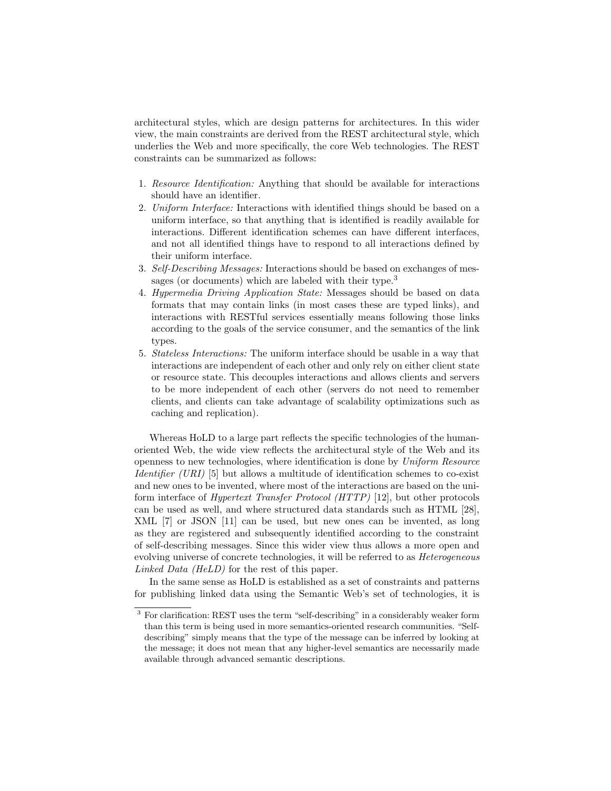architectural styles, which are design patterns for architectures. In this wider view, the main constraints are derived from the REST architectural style, which underlies the Web and more specifically, the core Web technologies. The REST constraints can be summarized as follows:

- 1. Resource Identification: Anything that should be available for interactions should have an identifier.
- 2. Uniform Interface: Interactions with identified things should be based on a uniform interface, so that anything that is identified is readily available for interactions. Different identification schemes can have different interfaces, and not all identified things have to respond to all interactions defined by their uniform interface.
- 3. Self-Describing Messages: Interactions should be based on exchanges of messages (or documents) which are labeled with their type.<sup>3</sup>
- 4. Hypermedia Driving Application State: Messages should be based on data formats that may contain links (in most cases these are typed links), and interactions with RESTful services essentially means following those links according to the goals of the service consumer, and the semantics of the link types.
- 5. Stateless Interactions: The uniform interface should be usable in a way that interactions are independent of each other and only rely on either client state or resource state. This decouples interactions and allows clients and servers to be more independent of each other (servers do not need to remember clients, and clients can take advantage of scalability optimizations such as caching and replication).

Whereas HoLD to a large part reflects the specific technologies of the humanoriented Web, the wide view reflects the architectural style of the Web and its openness to new technologies, where identification is done by Uniform Resource Identifier (URI) [\[5\]](#page-14-0) but allows a multitude of identification schemes to co-exist and new ones to be invented, where most of the interactions are based on the uniform interface of Hypertext Transfer Protocol (HTTP) [\[12\]](#page-14-0), but other protocols can be used as well, and where structured data standards such as HTML [\[28\]](#page-14-0), XML [\[7\]](#page-14-0) or JSON [\[11\]](#page-14-0) can be used, but new ones can be invented, as long as they are registered and subsequently identified according to the constraint of self-describing messages. Since this wider view thus allows a more open and evolving universe of concrete technologies, it will be referred to as Heterogeneous Linked Data (HeLD) for the rest of this paper.

In the same sense as HoLD is established as a set of constraints and patterns for publishing linked data using the Semantic Web's set of technologies, it is

<sup>&</sup>lt;sup>3</sup> For clarification: REST uses the term "self-describing" in a considerably weaker form than this term is being used in more semantics-oriented research communities. "Selfdescribing" simply means that the type of the message can be inferred by looking at the message; it does not mean that any higher-level semantics are necessarily made available through advanced semantic descriptions.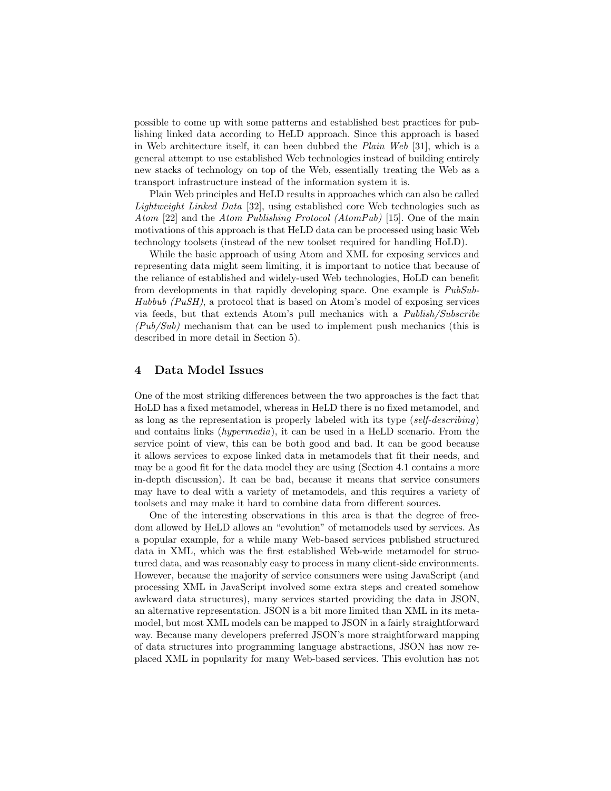<span id="page-4-0"></span>possible to come up with some patterns and established best practices for publishing linked data according to HeLD approach. Since this approach is based in Web architecture itself, it can been dubbed the Plain Web [\[31\]](#page-14-0), which is a general attempt to use established Web technologies instead of building entirely new stacks of technology on top of the Web, essentially treating the Web as a transport infrastructure instead of the information system it is.

Plain Web principles and HeLD results in approaches which can also be called Lightweight Linked Data [\[32\]](#page-14-0), using established core Web technologies such as Atom [\[22\]](#page-14-0) and the Atom Publishing Protocol (AtomPub) [\[15\]](#page-14-0). One of the main motivations of this approach is that HeLD data can be processed using basic Web technology toolsets (instead of the new toolset required for handling HoLD).

While the basic approach of using Atom and XML for exposing services and representing data might seem limiting, it is important to notice that because of the reliance of established and widely-used Web technologies, HoLD can benefit from developments in that rapidly developing space. One example is PubSub-Hubbub (PuSH), a protocol that is based on Atom's model of exposing services via feeds, but that extends Atom's pull mechanics with a Publish/Subscribe  $(Pub/Sub)$  mechanism that can be used to implement push mechanics (this is described in more detail in Section [5\)](#page-8-0).

## 4 Data Model Issues

One of the most striking differences between the two approaches is the fact that HoLD has a fixed metamodel, whereas in HeLD there is no fixed metamodel, and as long as the representation is properly labeled with its type (self-describing) and contains links (hypermedia), it can be used in a HeLD scenario. From the service point of view, this can be both good and bad. It can be good because it allows services to expose linked data in metamodels that fit their needs, and may be a good fit for the data model they are using (Section [4.1](#page-5-0) contains a more in-depth discussion). It can be bad, because it means that service consumers may have to deal with a variety of metamodels, and this requires a variety of toolsets and may make it hard to combine data from different sources.

One of the interesting observations in this area is that the degree of freedom allowed by HeLD allows an "evolution" of metamodels used by services. As a popular example, for a while many Web-based services published structured data in XML, which was the first established Web-wide metamodel for structured data, and was reasonably easy to process in many client-side environments. However, because the majority of service consumers were using JavaScript (and processing XML in JavaScript involved some extra steps and created somehow awkward data structures), many services started providing the data in JSON, an alternative representation. JSON is a bit more limited than XML in its metamodel, but most XML models can be mapped to JSON in a fairly straightforward way. Because many developers preferred JSON's more straightforward mapping of data structures into programming language abstractions, JSON has now replaced XML in popularity for many Web-based services. This evolution has not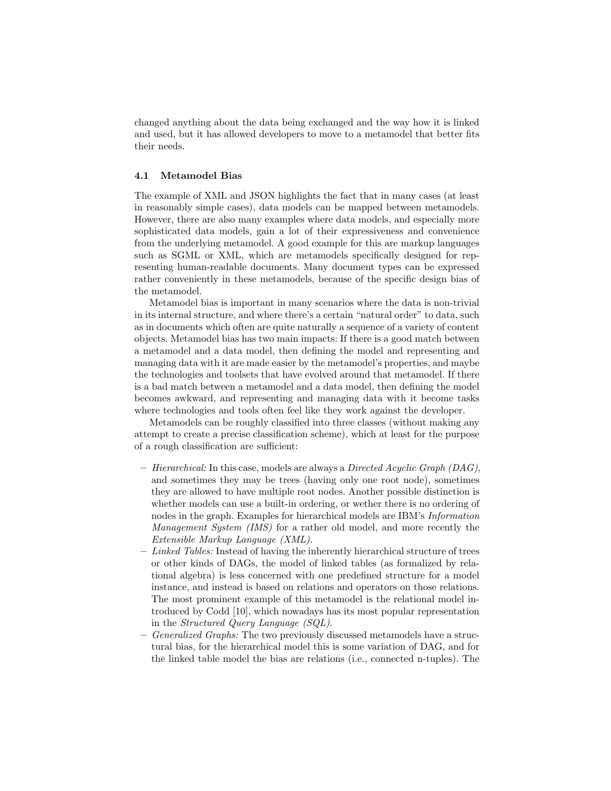<span id="page-5-0"></span>changed anything about the data being exchanged and the way how it is linked and used, but it has allowed developers to move to a metamodel that better fits their needs.

#### 4.1 Metamodel Bias

The example of XML and JSON highlights the fact that in many cases (at least in reasonably simple cases), data models can be mapped between metamodels. However, there are also many examples where data models, and especially more sophisticated data models, gain a lot of their expressiveness and convenience from the underlying metamodel. A good example for this are markup languages such as SGML or XML, which are metamodels specifically designed for representing human-readable documents. Many document types can be expressed rather conveniently in these metamodels, because of the specific design bias of the metamodel.

Metamodel bias is important in many scenarios where the data is non-trivial in its internal structure, and where there's a certain "natural order" to data, such as in documents which often are quite naturally a sequence of a variety of content objects. Metamodel bias has two main impacts: If there is a good match between a metamodel and a data model, then defining the model and representing and managing data with it are made easier by the metamodel's properties, and maybe the technologies and toolsets that have evolved around that metamodel. If there is a bad match between a metamodel and a data model, then defining the model becomes awkward, and representing and managing data with it become tasks where technologies and tools often feel like they work against the developer.

Metamodels can be roughly classified into three classes (without making any attempt to create a precise classification scheme), which at least for the purpose of a rough classification are sufficient:

- $-$  Hierarchical: In this case, models are always a Directed Acyclic Graph (DAG), and sometimes they may be trees (having only one root node), sometimes they are allowed to have multiple root nodes. Another possible distinction is whether models can use a built-in ordering, or wether there is no ordering of nodes in the graph. Examples for hierarchical models are IBM's Information Management System (IMS) for a rather old model, and more recently the Extensible Markup Language (XML).
- $-$  Linked Tables: Instead of having the inherently hierarchical structure of trees or other kinds of DAGs, the model of linked tables (as formalized by relational algebra) is less concerned with one predefined structure for a model instance, and instead is based on relations and operators on those relations. The most prominent example of this metamodel is the relational model introduced by Codd [\[10\]](#page-14-0), which nowadays has its most popular representation in the Structured Query Language (SQL).
- Generalized Graphs: The two previously discussed metamodels have a structural bias, for the hierarchical model this is some variation of DAG, and for the linked table model the bias are relations (i.e., connected n-tuples). The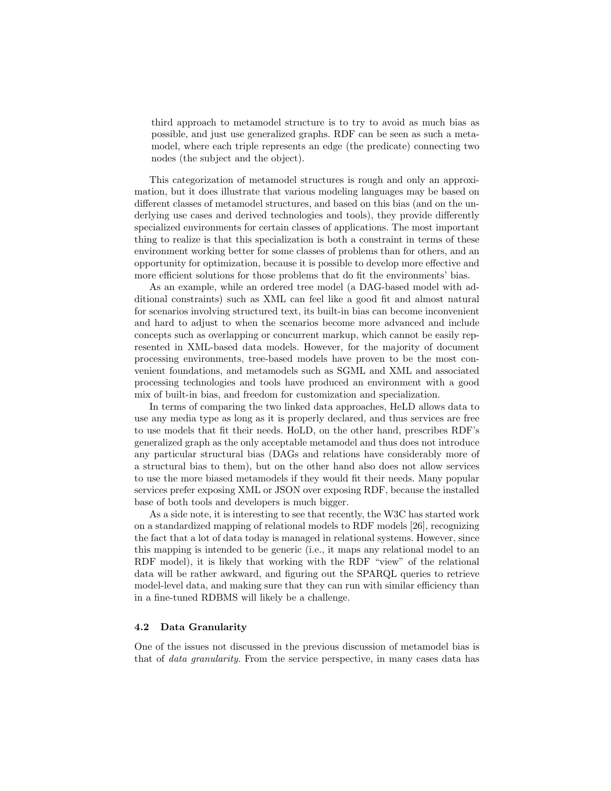third approach to metamodel structure is to try to avoid as much bias as possible, and just use generalized graphs. RDF can be seen as such a metamodel, where each triple represents an edge (the predicate) connecting two nodes (the subject and the object).

This categorization of metamodel structures is rough and only an approximation, but it does illustrate that various modeling languages may be based on different classes of metamodel structures, and based on this bias (and on the underlying use cases and derived technologies and tools), they provide differently specialized environments for certain classes of applications. The most important thing to realize is that this specialization is both a constraint in terms of these environment working better for some classes of problems than for others, and an opportunity for optimization, because it is possible to develop more effective and more efficient solutions for those problems that do fit the environments' bias.

As an example, while an ordered tree model (a DAG-based model with additional constraints) such as XML can feel like a good fit and almost natural for scenarios involving structured text, its built-in bias can become inconvenient and hard to adjust to when the scenarios become more advanced and include concepts such as overlapping or concurrent markup, which cannot be easily represented in XML-based data models. However, for the majority of document processing environments, tree-based models have proven to be the most convenient foundations, and metamodels such as SGML and XML and associated processing technologies and tools have produced an environment with a good mix of built-in bias, and freedom for customization and specialization.

In terms of comparing the two linked data approaches, HeLD allows data to use any media type as long as it is properly declared, and thus services are free to use models that fit their needs. HoLD, on the other hand, prescribes RDF's generalized graph as the only acceptable metamodel and thus does not introduce any particular structural bias (DAGs and relations have considerably more of a structural bias to them), but on the other hand also does not allow services to use the more biased metamodels if they would fit their needs. Many popular services prefer exposing XML or JSON over exposing RDF, because the installed base of both tools and developers is much bigger.

As a side note, it is interesting to see that recently, the W3C has started work on a standardized mapping of relational models to RDF models [\[26\]](#page-14-0), recognizing the fact that a lot of data today is managed in relational systems. However, since this mapping is intended to be generic (i.e., it maps any relational model to an RDF model), it is likely that working with the RDF "view" of the relational data will be rather awkward, and figuring out the SPARQL queries to retrieve model-level data, and making sure that they can run with similar efficiency than in a fine-tuned RDBMS will likely be a challenge.

#### 4.2 Data Granularity

One of the issues not discussed in the previous discussion of metamodel bias is that of data granularity. From the service perspective, in many cases data has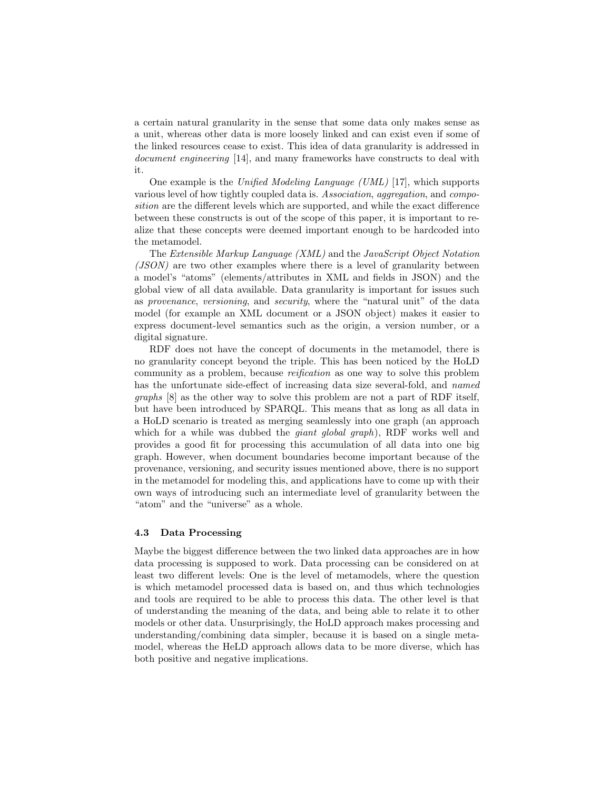a certain natural granularity in the sense that some data only makes sense as a unit, whereas other data is more loosely linked and can exist even if some of the linked resources cease to exist. This idea of data granularity is addressed in document engineering [\[14\]](#page-14-0), and many frameworks have constructs to deal with it.

One example is the Unified Modeling Language (UML) [\[17\]](#page-14-0), which supports various level of how tightly coupled data is. Association, aggregation, and composition are the different levels which are supported, and while the exact difference between these constructs is out of the scope of this paper, it is important to realize that these concepts were deemed important enough to be hardcoded into the metamodel.

The Extensible Markup Language (XML) and the JavaScript Object Notation (JSON) are two other examples where there is a level of granularity between a model's "atoms" (elements/attributes in XML and fields in JSON) and the global view of all data available. Data granularity is important for issues such as provenance, versioning, and security, where the "natural unit" of the data model (for example an XML document or a JSON object) makes it easier to express document-level semantics such as the origin, a version number, or a digital signature.

RDF does not have the concept of documents in the metamodel, there is no granularity concept beyond the triple. This has been noticed by the HoLD community as a problem, because reification as one way to solve this problem has the unfortunate side-effect of increasing data size several-fold, and named graphs [\[8\]](#page-14-0) as the other way to solve this problem are not a part of RDF itself, but have been introduced by SPARQL. This means that as long as all data in a HoLD scenario is treated as merging seamlessly into one graph (an approach which for a while was dubbed the *giant global graph*), RDF works well and provides a good fit for processing this accumulation of all data into one big graph. However, when document boundaries become important because of the provenance, versioning, and security issues mentioned above, there is no support in the metamodel for modeling this, and applications have to come up with their own ways of introducing such an intermediate level of granularity between the "atom" and the "universe" as a whole.

## 4.3 Data Processing

Maybe the biggest difference between the two linked data approaches are in how data processing is supposed to work. Data processing can be considered on at least two different levels: One is the level of metamodels, where the question is which metamodel processed data is based on, and thus which technologies and tools are required to be able to process this data. The other level is that of understanding the meaning of the data, and being able to relate it to other models or other data. Unsurprisingly, the HoLD approach makes processing and understanding/combining data simpler, because it is based on a single metamodel, whereas the HeLD approach allows data to be more diverse, which has both positive and negative implications.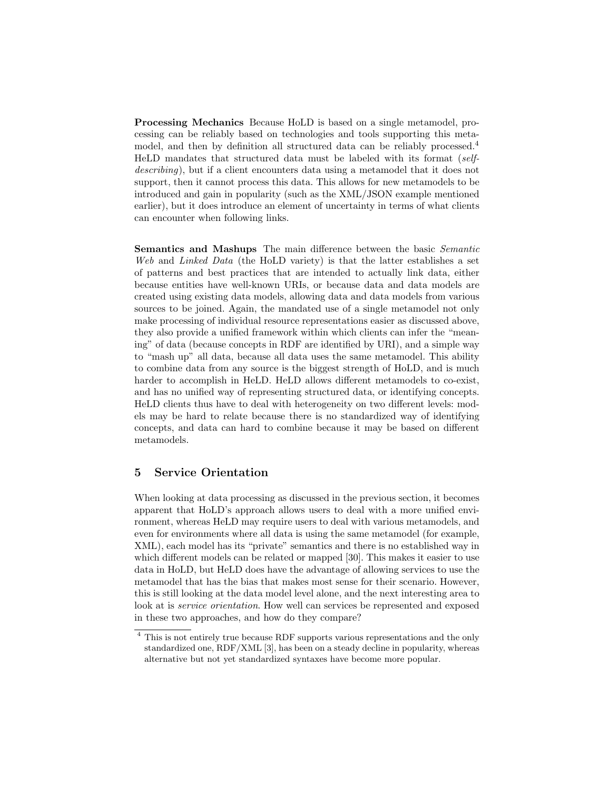<span id="page-8-0"></span>Processing Mechanics Because HoLD is based on a single metamodel, processing can be reliably based on technologies and tools supporting this metamodel, and then by definition all structured data can be reliably processed.<sup>4</sup> HeLD mandates that structured data must be labeled with its format (selfdescribing), but if a client encounters data using a metamodel that it does not support, then it cannot process this data. This allows for new metamodels to be introduced and gain in popularity (such as the XML/JSON example mentioned earlier), but it does introduce an element of uncertainty in terms of what clients can encounter when following links.

Semantics and Mashups The main difference between the basic Semantic Web and Linked Data (the HoLD variety) is that the latter establishes a set of patterns and best practices that are intended to actually link data, either because entities have well-known URIs, or because data and data models are created using existing data models, allowing data and data models from various sources to be joined. Again, the mandated use of a single metamodel not only make processing of individual resource representations easier as discussed above, they also provide a unified framework within which clients can infer the "meaning" of data (because concepts in RDF are identified by URI), and a simple way to "mash up" all data, because all data uses the same metamodel. This ability to combine data from any source is the biggest strength of HoLD, and is much harder to accomplish in HeLD. HeLD allows different metamodels to co-exist, and has no unified way of representing structured data, or identifying concepts. HeLD clients thus have to deal with heterogeneity on two different levels: models may be hard to relate because there is no standardized way of identifying concepts, and data can hard to combine because it may be based on different metamodels.

# 5 Service Orientation

When looking at data processing as discussed in the previous section, it becomes apparent that HoLD's approach allows users to deal with a more unified environment, whereas HeLD may require users to deal with various metamodels, and even for environments where all data is using the same metamodel (for example, XML), each model has its "private" semantics and there is no established way in which different models can be related or mapped [\[30\]](#page-14-0). This makes it easier to use data in HoLD, but HeLD does have the advantage of allowing services to use the metamodel that has the bias that makes most sense for their scenario. However, this is still looking at the data model level alone, and the next interesting area to look at is *service orientation*. How well can services be represented and exposed in these two approaches, and how do they compare?

<sup>4</sup> This is not entirely true because RDF supports various representations and the only standardized one, RDF/XML [\[3\]](#page-14-0), has been on a steady decline in popularity, whereas alternative but not yet standardized syntaxes have become more popular.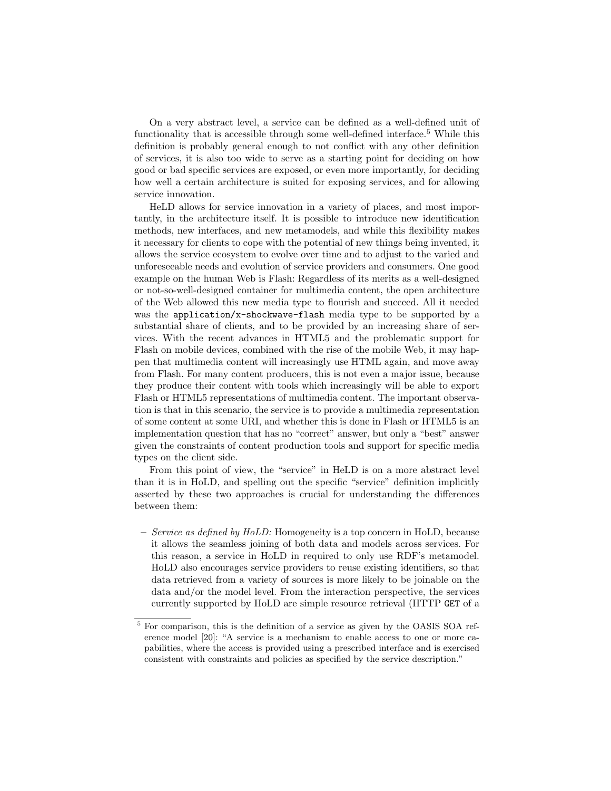On a very abstract level, a service can be defined as a well-defined unit of functionality that is accessible through some well-defined interface.<sup>5</sup> While this definition is probably general enough to not conflict with any other definition of services, it is also too wide to serve as a starting point for deciding on how good or bad specific services are exposed, or even more importantly, for deciding how well a certain architecture is suited for exposing services, and for allowing service innovation.

HeLD allows for service innovation in a variety of places, and most importantly, in the architecture itself. It is possible to introduce new identification methods, new interfaces, and new metamodels, and while this flexibility makes it necessary for clients to cope with the potential of new things being invented, it allows the service ecosystem to evolve over time and to adjust to the varied and unforeseeable needs and evolution of service providers and consumers. One good example on the human Web is Flash: Regardless of its merits as a well-designed or not-so-well-designed container for multimedia content, the open architecture of the Web allowed this new media type to flourish and succeed. All it needed was the application/x-shockwave-flash media type to be supported by a substantial share of clients, and to be provided by an increasing share of services. With the recent advances in HTML5 and the problematic support for Flash on mobile devices, combined with the rise of the mobile Web, it may happen that multimedia content will increasingly use HTML again, and move away from Flash. For many content producers, this is not even a major issue, because they produce their content with tools which increasingly will be able to export Flash or HTML5 representations of multimedia content. The important observation is that in this scenario, the service is to provide a multimedia representation of some content at some URI, and whether this is done in Flash or HTML5 is an implementation question that has no "correct" answer, but only a "best" answer given the constraints of content production tools and support for specific media types on the client side.

From this point of view, the "service" in HeLD is on a more abstract level than it is in HoLD, and spelling out the specific "service" definition implicitly asserted by these two approaches is crucial for understanding the differences between them:

 $-$  Service as defined by HoLD: Homogeneity is a top concern in HoLD, because it allows the seamless joining of both data and models across services. For this reason, a service in HoLD in required to only use RDF's metamodel. HoLD also encourages service providers to reuse existing identifiers, so that data retrieved from a variety of sources is more likely to be joinable on the data and/or the model level. From the interaction perspective, the services currently supported by HoLD are simple resource retrieval (HTTP GET of a

<sup>5</sup> For comparison, this is the definition of a service as given by the OASIS SOA reference model [\[20\]](#page-14-0): "A service is a mechanism to enable access to one or more capabilities, where the access is provided using a prescribed interface and is exercised consistent with constraints and policies as specified by the service description."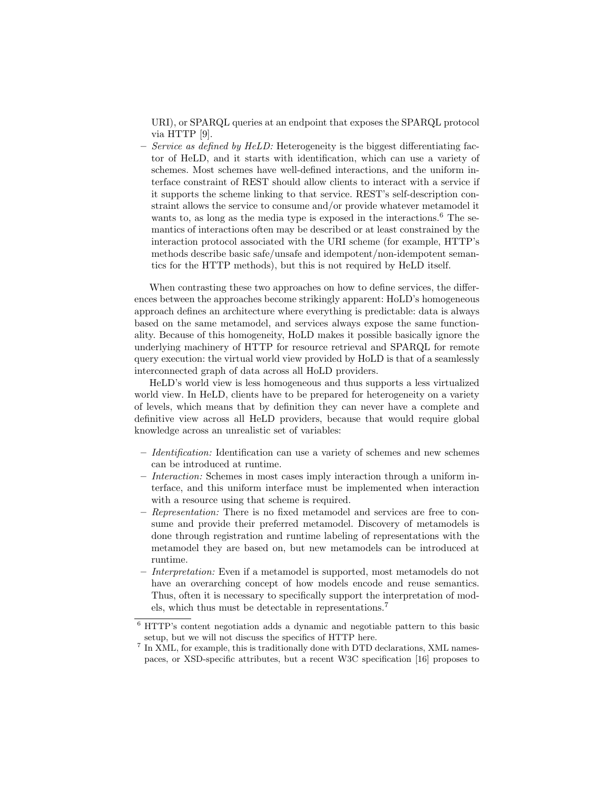URI), or SPARQL queries at an endpoint that exposes the SPARQL protocol via HTTP [\[9\]](#page-14-0).

– Service as defined by HeLD: Heterogeneity is the biggest differentiating factor of HeLD, and it starts with identification, which can use a variety of schemes. Most schemes have well-defined interactions, and the uniform interface constraint of REST should allow clients to interact with a service if it supports the scheme linking to that service. REST's self-description constraint allows the service to consume and/or provide whatever metamodel it wants to, as long as the media type is exposed in the interactions.<sup>6</sup> The semantics of interactions often may be described or at least constrained by the interaction protocol associated with the URI scheme (for example, HTTP's methods describe basic safe/unsafe and idempotent/non-idempotent semantics for the HTTP methods), but this is not required by HeLD itself.

When contrasting these two approaches on how to define services, the differences between the approaches become strikingly apparent: HoLD's homogeneous approach defines an architecture where everything is predictable: data is always based on the same metamodel, and services always expose the same functionality. Because of this homogeneity, HoLD makes it possible basically ignore the underlying machinery of HTTP for resource retrieval and SPARQL for remote query execution: the virtual world view provided by HoLD is that of a seamlessly interconnected graph of data across all HoLD providers.

HeLD's world view is less homogeneous and thus supports a less virtualized world view. In HeLD, clients have to be prepared for heterogeneity on a variety of levels, which means that by definition they can never have a complete and definitive view across all HeLD providers, because that would require global knowledge across an unrealistic set of variables:

- Identification: Identification can use a variety of schemes and new schemes can be introduced at runtime.
- Interaction: Schemes in most cases imply interaction through a uniform interface, and this uniform interface must be implemented when interaction with a resource using that scheme is required.
- Representation: There is no fixed metamodel and services are free to consume and provide their preferred metamodel. Discovery of metamodels is done through registration and runtime labeling of representations with the metamodel they are based on, but new metamodels can be introduced at runtime.
- Interpretation: Even if a metamodel is supported, most metamodels do not have an overarching concept of how models encode and reuse semantics. Thus, often it is necessary to specifically support the interpretation of models, which thus must be detectable in representations.<sup>7</sup>

<sup>6</sup> HTTP's content negotiation adds a dynamic and negotiable pattern to this basic setup, but we will not discuss the specifics of HTTP here.

<sup>&</sup>lt;sup>7</sup> In XML, for example, this is traditionally done with DTD declarations, XML namespaces, or XSD-specific attributes, but a recent W3C specification [\[16\]](#page-14-0) proposes to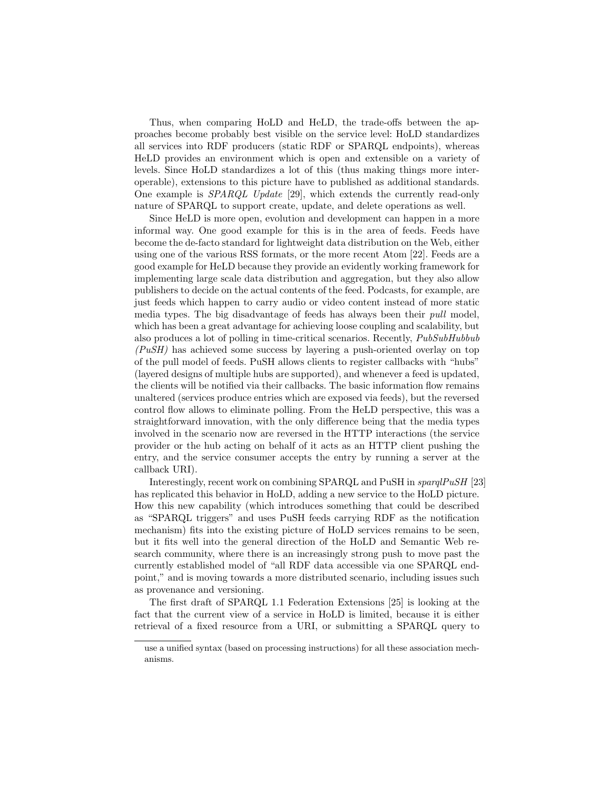Thus, when comparing HoLD and HeLD, the trade-offs between the approaches become probably best visible on the service level: HoLD standardizes all services into RDF producers (static RDF or SPARQL endpoints), whereas HeLD provides an environment which is open and extensible on a variety of levels. Since HoLD standardizes a lot of this (thus making things more interoperable), extensions to this picture have to published as additional standards. One example is SPARQL Update [\[29\]](#page-14-0), which extends the currently read-only nature of SPARQL to support create, update, and delete operations as well.

Since HeLD is more open, evolution and development can happen in a more informal way. One good example for this is in the area of feeds. Feeds have become the de-facto standard for lightweight data distribution on the Web, either using one of the various RSS formats, or the more recent Atom [\[22\]](#page-14-0). Feeds are a good example for HeLD because they provide an evidently working framework for implementing large scale data distribution and aggregation, but they also allow publishers to decide on the actual contents of the feed. Podcasts, for example, are just feeds which happen to carry audio or video content instead of more static media types. The big disadvantage of feeds has always been their pull model, which has been a great advantage for achieving loose coupling and scalability, but also produces a lot of polling in time-critical scenarios. Recently,  $PubSubHubbub$ (PuSH) has achieved some success by layering a push-oriented overlay on top of the pull model of feeds. PuSH allows clients to register callbacks with "hubs" (layered designs of multiple hubs are supported), and whenever a feed is updated, the clients will be notified via their callbacks. The basic information flow remains unaltered (services produce entries which are exposed via feeds), but the reversed control flow allows to eliminate polling. From the HeLD perspective, this was a straightforward innovation, with the only difference being that the media types involved in the scenario now are reversed in the HTTP interactions (the service provider or the hub acting on behalf of it acts as an HTTP client pushing the entry, and the service consumer accepts the entry by running a server at the callback URI).

Interestingly, recent work on combining SPARQL and PuSH in sparqlPuSH [\[23\]](#page-14-0) has replicated this behavior in HoLD, adding a new service to the HoLD picture. How this new capability (which introduces something that could be described as "SPARQL triggers" and uses PuSH feeds carrying RDF as the notification mechanism) fits into the existing picture of HoLD services remains to be seen, but it fits well into the general direction of the HoLD and Semantic Web research community, where there is an increasingly strong push to move past the currently established model of "all RDF data accessible via one SPARQL endpoint," and is moving towards a more distributed scenario, including issues such as provenance and versioning.

The first draft of SPARQL 1.1 Federation Extensions [\[25\]](#page-14-0) is looking at the fact that the current view of a service in HoLD is limited, because it is either retrieval of a fixed resource from a URI, or submitting a SPARQL query to

use a unified syntax (based on processing instructions) for all these association mechanisms.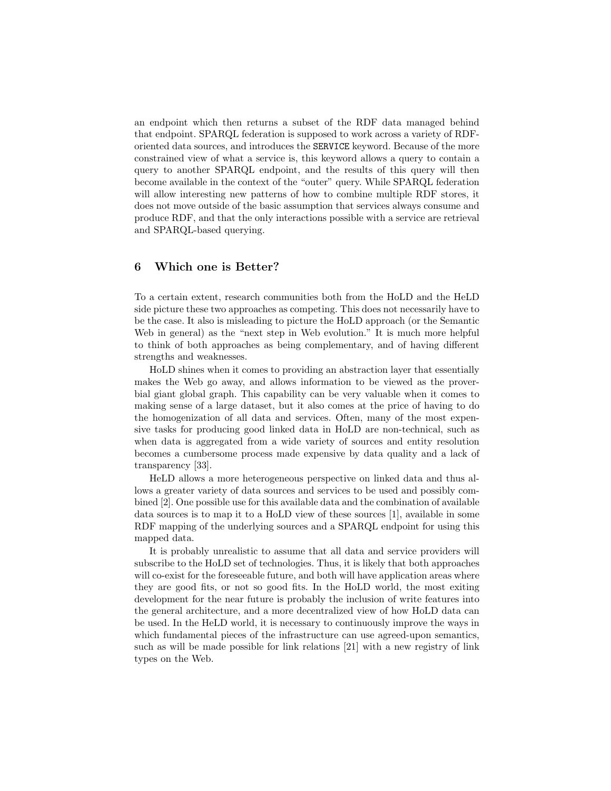an endpoint which then returns a subset of the RDF data managed behind that endpoint. SPARQL federation is supposed to work across a variety of RDForiented data sources, and introduces the SERVICE keyword. Because of the more constrained view of what a service is, this keyword allows a query to contain a query to another SPARQL endpoint, and the results of this query will then become available in the context of the "outer" query. While SPARQL federation will allow interesting new patterns of how to combine multiple RDF stores, it does not move outside of the basic assumption that services always consume and produce RDF, and that the only interactions possible with a service are retrieval and SPARQL-based querying.

# 6 Which one is Better?

To a certain extent, research communities both from the HoLD and the HeLD side picture these two approaches as competing. This does not necessarily have to be the case. It also is misleading to picture the HoLD approach (or the Semantic Web in general) as the "next step in Web evolution." It is much more helpful to think of both approaches as being complementary, and of having different strengths and weaknesses.

HoLD shines when it comes to providing an abstraction layer that essentially makes the Web go away, and allows information to be viewed as the proverbial giant global graph. This capability can be very valuable when it comes to making sense of a large dataset, but it also comes at the price of having to do the homogenization of all data and services. Often, many of the most expensive tasks for producing good linked data in HoLD are non-technical, such as when data is aggregated from a wide variety of sources and entity resolution becomes a cumbersome process made expensive by data quality and a lack of transparency [\[33\]](#page-14-0).

HeLD allows a more heterogeneous perspective on linked data and thus allows a greater variety of data sources and services to be used and possibly combined [\[2\]](#page-14-0). One possible use for this available data and the combination of available data sources is to map it to a HoLD view of these sources [\[1\]](#page-13-0), available in some RDF mapping of the underlying sources and a SPARQL endpoint for using this mapped data.

It is probably unrealistic to assume that all data and service providers will subscribe to the HoLD set of technologies. Thus, it is likely that both approaches will co-exist for the foreseeable future, and both will have application areas where they are good fits, or not so good fits. In the HoLD world, the most exiting development for the near future is probably the inclusion of write features into the general architecture, and a more decentralized view of how HoLD data can be used. In the HeLD world, it is necessary to continuously improve the ways in which fundamental pieces of the infrastructure can use agreed-upon semantics, such as will be made possible for link relations [\[21\]](#page-14-0) with a new registry of link types on the Web.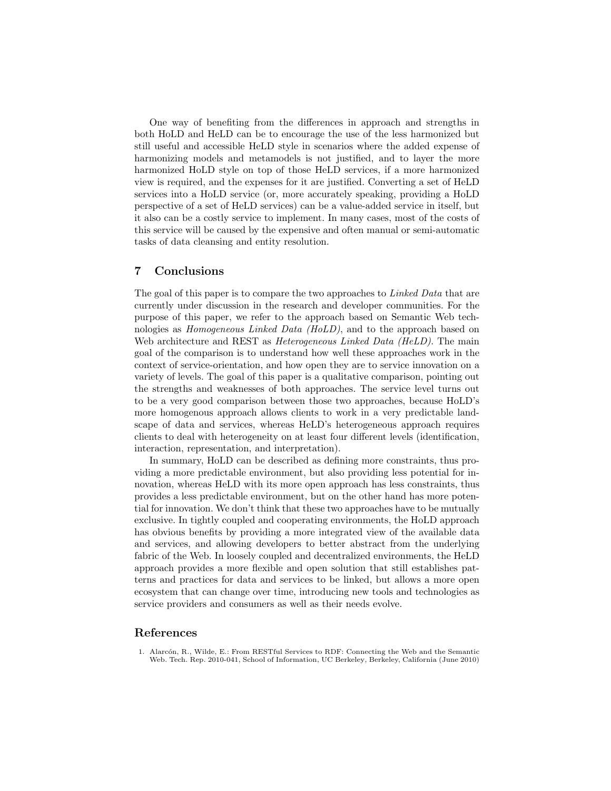<span id="page-13-0"></span>One way of benefiting from the differences in approach and strengths in both HoLD and HeLD can be to encourage the use of the less harmonized but still useful and accessible HeLD style in scenarios where the added expense of harmonizing models and metamodels is not justified, and to layer the more harmonized HoLD style on top of those HeLD services, if a more harmonized view is required, and the expenses for it are justified. Converting a set of HeLD services into a HoLD service (or, more accurately speaking, providing a HoLD perspective of a set of HeLD services) can be a value-added service in itself, but it also can be a costly service to implement. In many cases, most of the costs of this service will be caused by the expensive and often manual or semi-automatic tasks of data cleansing and entity resolution.

# 7 Conclusions

The goal of this paper is to compare the two approaches to *Linked Data* that are currently under discussion in the research and developer communities. For the purpose of this paper, we refer to the approach based on Semantic Web technologies as Homogeneous Linked Data (HoLD), and to the approach based on Web architecture and REST as *Heterogeneous Linked Data (HeLD)*. The main goal of the comparison is to understand how well these approaches work in the context of service-orientation, and how open they are to service innovation on a variety of levels. The goal of this paper is a qualitative comparison, pointing out the strengths and weaknesses of both approaches. The service level turns out to be a very good comparison between those two approaches, because HoLD's more homogenous approach allows clients to work in a very predictable landscape of data and services, whereas HeLD's heterogeneous approach requires clients to deal with heterogeneity on at least four different levels (identification, interaction, representation, and interpretation).

In summary, HoLD can be described as defining more constraints, thus providing a more predictable environment, but also providing less potential for innovation, whereas HeLD with its more open approach has less constraints, thus provides a less predictable environment, but on the other hand has more potential for innovation. We don't think that these two approaches have to be mutually exclusive. In tightly coupled and cooperating environments, the HoLD approach has obvious benefits by providing a more integrated view of the available data and services, and allowing developers to better abstract from the underlying fabric of the Web. In loosely coupled and decentralized environments, the HeLD approach provides a more flexible and open solution that still establishes patterns and practices for data and services to be linked, but allows a more open ecosystem that can change over time, introducing new tools and technologies as service providers and consumers as well as their needs evolve.

## References

1. Alarcón, R., Wilde, E.: From RESTful Services to RDF: Connecting the Web and the Semantic Web. Tech. Rep. 2010-041, School of Information, UC Berkeley, Berkeley, California (June 2010)